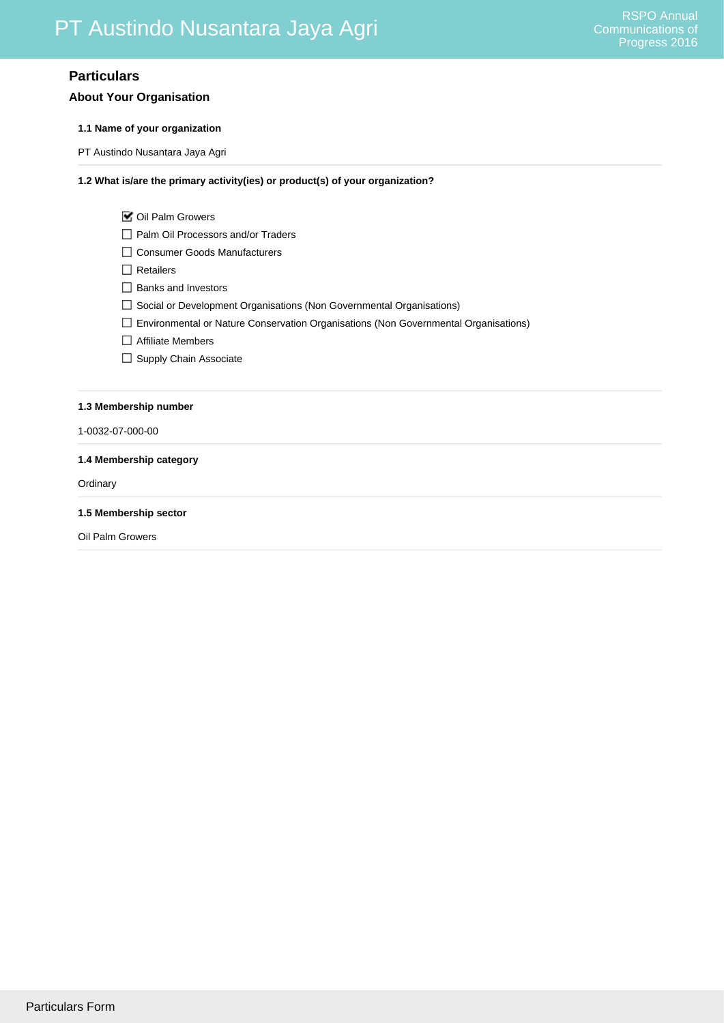# **Particulars**

## **About Your Organisation**

### **1.1 Name of your organization**

PT Austindo Nusantara Jaya Agri

## **1.2 What is/are the primary activity(ies) or product(s) of your organization?**

| ■ Oil Palm Growers |  |
|--------------------|--|
|--------------------|--|

- □ Palm Oil Processors and/or Traders
- □ Consumer Goods Manufacturers
- $\Box$  Retailers
- □ Banks and Investors
- Social or Development Organisations (Non Governmental Organisations)
- Environmental or Nature Conservation Organisations (Non Governmental Organisations)
- □ Affiliate Members
- □ Supply Chain Associate

### **1.3 Membership number**

1-0032-07-000-00

#### **1.4 Membership category**

**Ordinary** 

**1.5 Membership sector**

Oil Palm Growers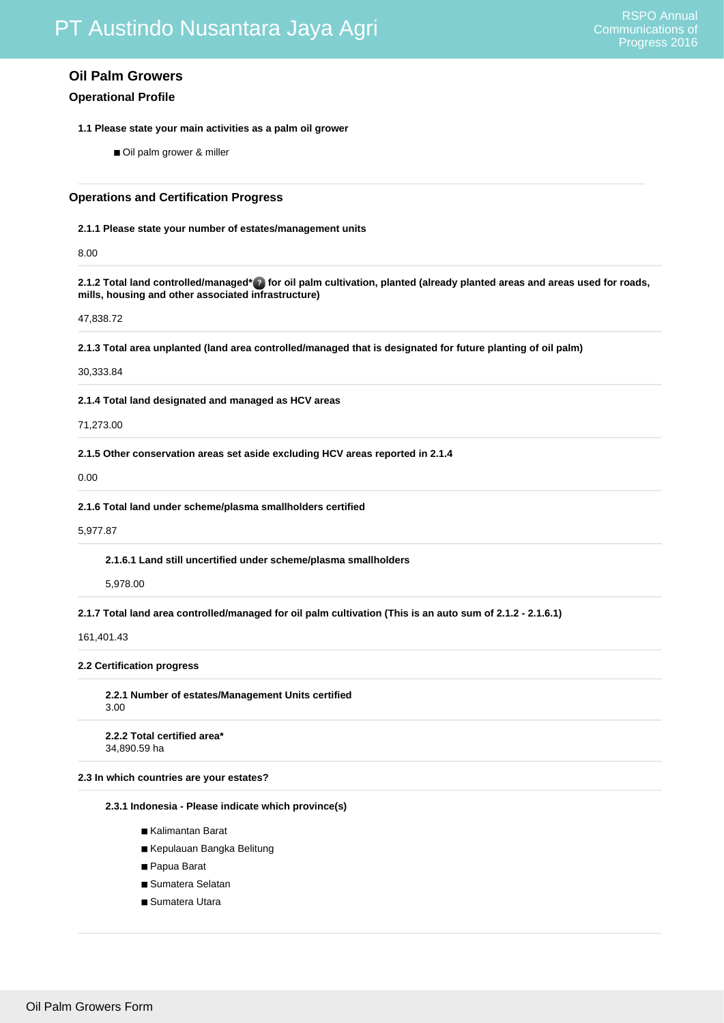## **Oil Palm Growers**

## **Operational Profile**

- **1.1 Please state your main activities as a palm oil grower**
	- Oil palm grower & miller

## **Operations and Certification Progress**

#### **2.1.1 Please state your number of estates/management units**

8.00

### **2.1.2 Total land controlled/managed\* for oil palm cultivation, planted (already planted areas and areas used for roads, mills, housing and other associated infrastructure)**

47,838.72

**2.1.3 Total area unplanted (land area controlled/managed that is designated for future planting of oil palm)**

### 30,333.84

**2.1.4 Total land designated and managed as HCV areas**

#### 71,273.00

**2.1.5 Other conservation areas set aside excluding HCV areas reported in 2.1.4**

## 0.00

**2.1.6 Total land under scheme/plasma smallholders certified**

#### 5,977.87

**2.1.6.1 Land still uncertified under scheme/plasma smallholders**

## 5,978.00

**2.1.7 Total land area controlled/managed for oil palm cultivation (This is an auto sum of 2.1.2 - 2.1.6.1)**

### 161,401.43

### **2.2 Certification progress**

**2.2.1 Number of estates/Management Units certified** 3.00

**2.2.2 Total certified area\*** 34,890.59 ha

### **2.3 In which countries are your estates?**

**2.3.1 Indonesia - Please indicate which province(s)**

- Kalimantan Barat
- Kepulauan Bangka Belitung
- Papua Barat
- Sumatera Selatan
- Sumatera Utara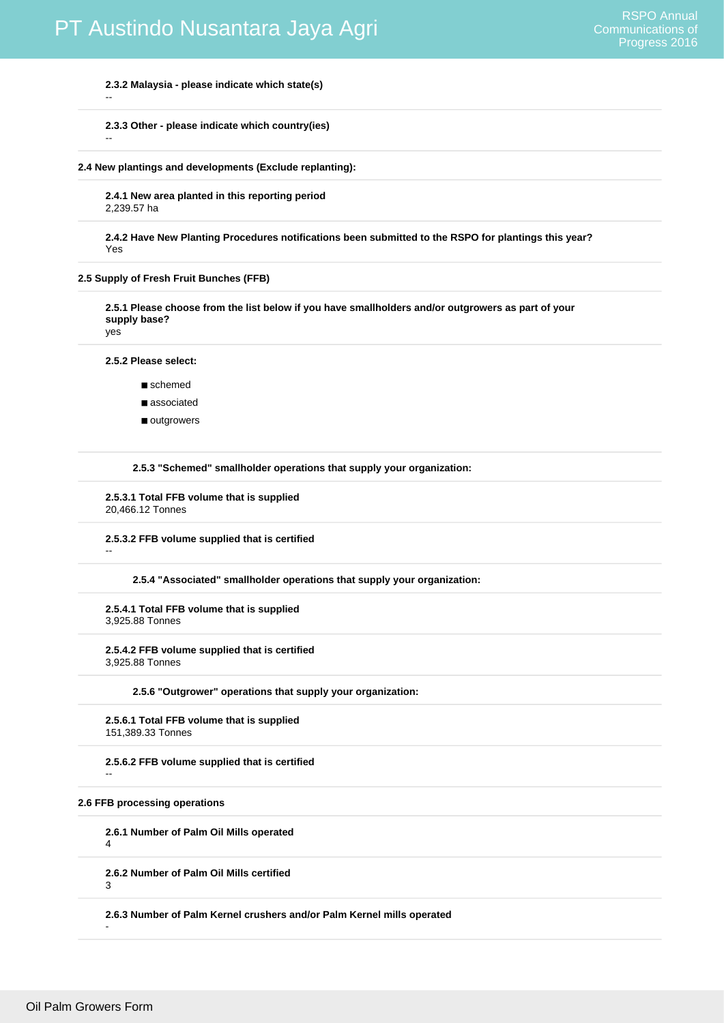**2.3.2 Malaysia - please indicate which state(s)**

**2.3.3 Other - please indicate which country(ies)**

**2.4 New plantings and developments (Exclude replanting):**

**2.4.1 New area planted in this reporting period** 2,239.57 ha

**2.4.2 Have New Planting Procedures notifications been submitted to the RSPO for plantings this year?**  Yes

**2.5 Supply of Fresh Fruit Bunches (FFB)**

**2.5.1 Please choose from the list below if you have smallholders and/or outgrowers as part of your supply base?**

yes

--

--

--

**2.5.2 Please select:**

- schemed
- associated
- outgrowers

**2.5.3 "Schemed" smallholder operations that supply your organization:**

**2.5.3.1 Total FFB volume that is supplied** 20,466.12 Tonnes

**2.5.3.2 FFB volume supplied that is certified**

**2.5.4 "Associated" smallholder operations that supply your organization:**

**2.5.4.1 Total FFB volume that is supplied** 3,925.88 Tonnes

**2.5.4.2 FFB volume supplied that is certified** 3,925.88 Tonnes

**2.5.6 "Outgrower" operations that supply your organization:**

**2.5.6.1 Total FFB volume that is supplied** 151,389.33 Tonnes

**2.5.6.2 FFB volume supplied that is certified**

## **2.6 FFB processing operations**

**2.6.1 Number of Palm Oil Mills operated** 4

**2.6.2 Number of Palm Oil Mills certified**

3

-

--

**2.6.3 Number of Palm Kernel crushers and/or Palm Kernel mills operated**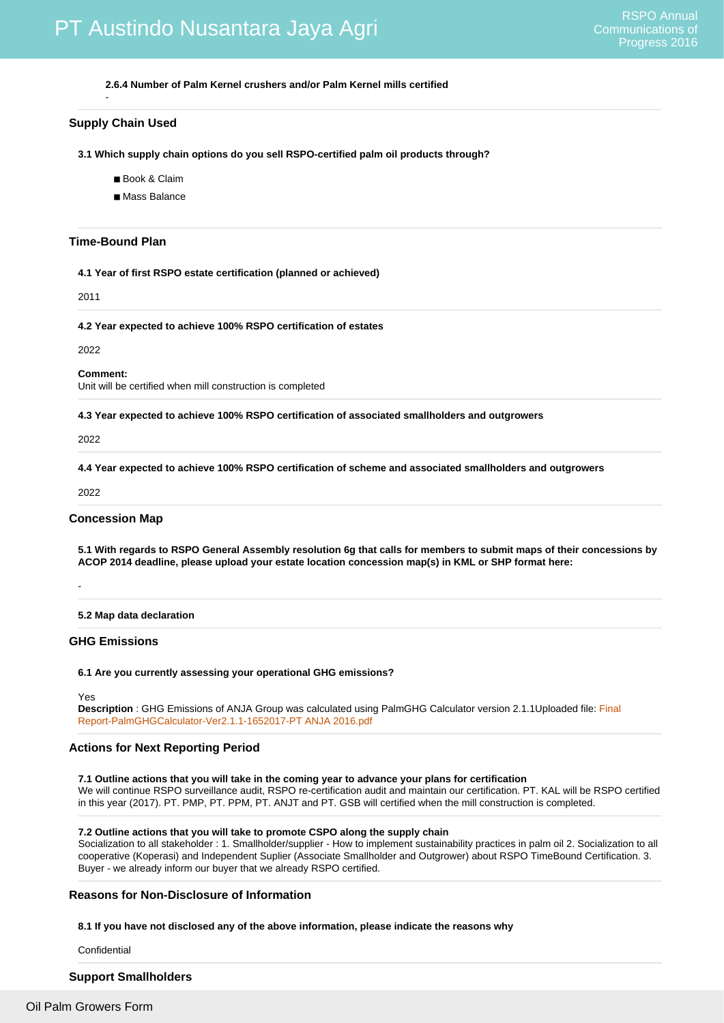**2.6.4 Number of Palm Kernel crushers and/or Palm Kernel mills certified**

### **Supply Chain Used**

-

**3.1 Which supply chain options do you sell RSPO-certified palm oil products through?**

- Book & Claim
- Mass Balance

#### **Time-Bound Plan**

**4.1 Year of first RSPO estate certification (planned or achieved)**

2011

**4.2 Year expected to achieve 100% RSPO certification of estates**

2022

**Comment:**

Unit will be certified when mill construction is completed

**4.3 Year expected to achieve 100% RSPO certification of associated smallholders and outgrowers**

2022

**4.4 Year expected to achieve 100% RSPO certification of scheme and associated smallholders and outgrowers**

2022

-

#### **Concession Map**

**5.1 With regards to RSPO General Assembly resolution 6g that calls for members to submit maps of their concessions by ACOP 2014 deadline, please upload your estate location concession map(s) in KML or SHP format here:**

**5.2 Map data declaration**

### **GHG Emissions**

#### **6.1 Are you currently assessing your operational GHG emissions?**

Yes

**Description** : GHG Emissions of ANJA Group was calculated using PalmGHG Calculator version 2.1.1Uploaded file: [Final](http://www.rspo.org/acop/2016/pt-austindo-nusantara-jaya-agri/Final Report-PalmGHGCalculator-Ver2.1.1-1652017-PT ANJA 2016.pdf) [Report-PalmGHGCalculator-Ver2.1.1-1652017-PT ANJA 2016.pdf](http://www.rspo.org/acop/2016/pt-austindo-nusantara-jaya-agri/Final Report-PalmGHGCalculator-Ver2.1.1-1652017-PT ANJA 2016.pdf)

## **Actions for Next Reporting Period**

**7.1 Outline actions that you will take in the coming year to advance your plans for certification** We will continue RSPO surveillance audit, RSPO re-certification audit and maintain our certification. PT. KAL will be RSPO certified in this year (2017). PT. PMP, PT. PPM, PT. ANJT and PT. GSB will certified when the mill construction is completed.

#### **7.2 Outline actions that you will take to promote CSPO along the supply chain**

Socialization to all stakeholder : 1. Smallholder/supplier - How to implement sustainability practices in palm oil 2. Socialization to all cooperative (Koperasi) and Independent Suplier (Associate Smallholder and Outgrower) about RSPO TimeBound Certification. 3. Buyer - we already inform our buyer that we already RSPO certified.

### **Reasons for Non-Disclosure of Information**

**8.1 If you have not disclosed any of the above information, please indicate the reasons why**

Confidential

## **Support Smallholders**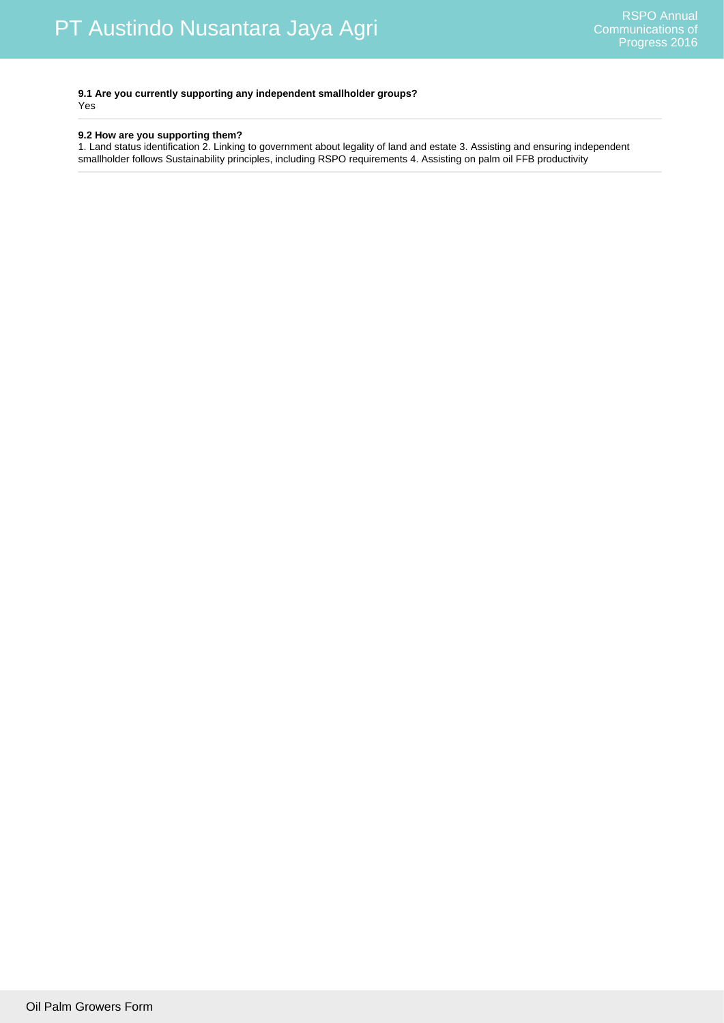**9.1 Are you currently supporting any independent smallholder groups?** Yes

## **9.2 How are you supporting them?**

1. Land status identification 2. Linking to government about legality of land and estate 3. Assisting and ensuring independent smallholder follows Sustainability principles, including RSPO requirements 4. Assisting on palm oil FFB productivity